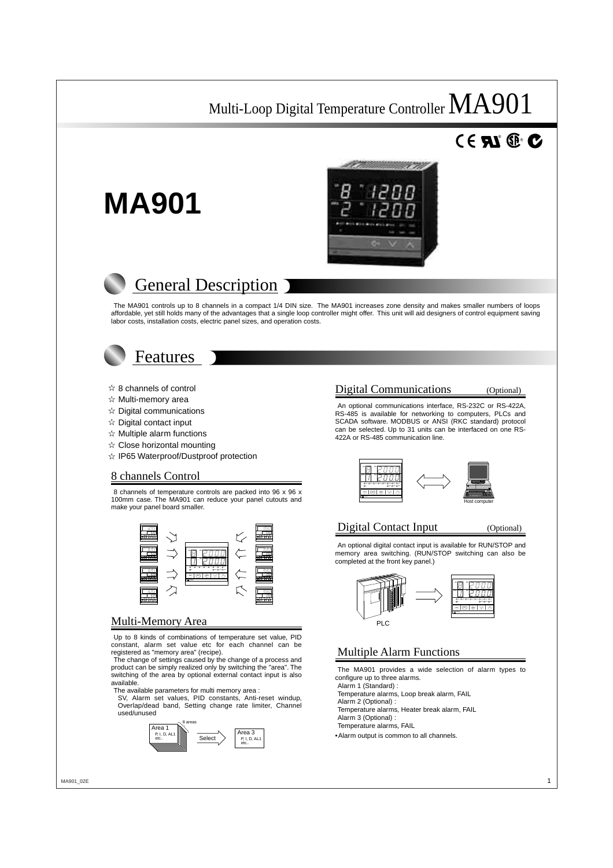# $^{\circ}$  RD.



# **General Description**

The MA901 controls up to 8 channels in a compact 1/4 DIN size. The MA901 increases zone density and makes smaller numbers of loops affordable, yet still holds many of the advantages that a single loop controller might offer. This unit will aid designers of control equipment saving labor costs, installation costs, electric panel sizes, and operation costs.



**MA901**

- $\hat{\mathbf{x}}$  8 channels of control
- $\hat{x}$  Multi-memory area
- $\hat{x}$  Digital communications
- $\hat{x}$  Digital contact input
- $\dot{\mathbf{x}}$  Multiple alarm functions
- $\hat{\mathbf{x}}$  Close horizontal mounting
- $\hat{\mathcal{A}}$  IP65 Waterproof/Dustproof protection

# 8 channels Control

8 channels of temperature controls are packed into 96 x 96 x 100mm case. The MA901 can reduce your panel cutouts and make your panel board smaller.



# Multi-Memory Area

Up to 8 kinds of combinations of temperature set value, PID constant, alarm set value etc for each channel can be registered as "memory area" (recipe).

The change of settings caused by the change of a process and product can be simply realized only by switching the "area". The switching of the area by optional external contact input is also available.

The available parameters for multi memory area :

SV, Alarm set values, PID constants, Anti-reset windup, Overlap/dead band, Setting change rate limiter, Channel used/unused



# Digital Communications (Optional)

An optional communications interface, RS-232C or RS-422A, RS-485 is available for networking to computers, PLCs and SCADA software. MODBUS or ANSI (RKC standard) protocol can be selected. Up to 31 units can be interfaced on one RS-422A or RS-485 communication line.



## Digital Contact Input (Optional)

An optional digital contact input is available for RUN/STOP and memory area switching. (RUN/STOP switching can also be completed at the front key panel.)



# Multiple Alarm Functions

The MA901 provides a wide selection of alarm types to configure up to three alarms.

Alarm 1 (Standard) :

Temperature alarms, Loop break alarm, FAIL

Alarm 2 (Optional) :

Temperature alarms, Heater break alarm, FAIL Alarm 3 (Optional) :

Temperature alarms, FAIL

•Alarm output is common to all channels.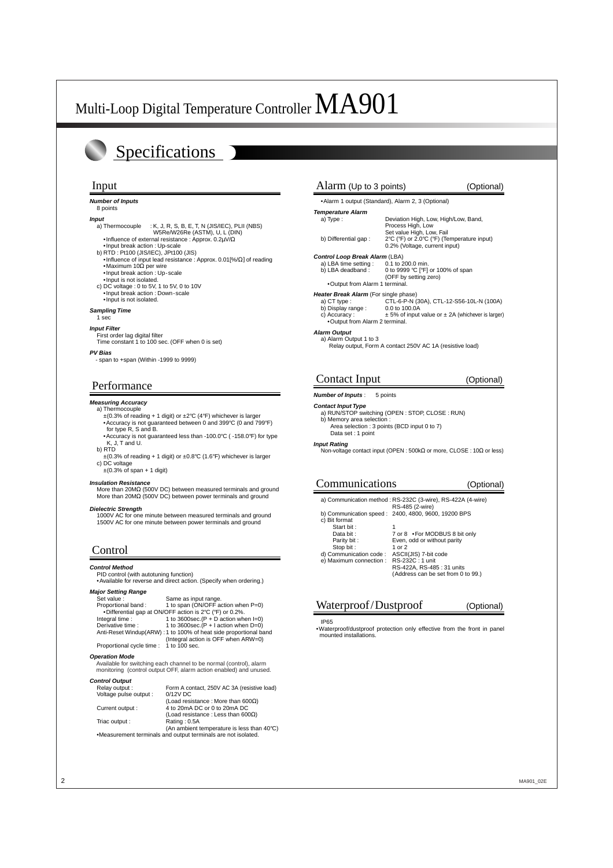# Specifications

#### **Number of Inputs**

# 8 points

**Input**<br>a) Thermocouple  $:$  K, J, R, S, B, E, T, N (JIS/IEC), PLII (NBS) W5Re/W26Re (ASTM), U, L (DIN)

•Influence of external resistance : Approx. 0.2µV/Ω

- •Input break action : Up-scale
- b) RTD : Pt100 (JIS/IEC), JPt100 (JIS)
- •Influence of input lead resistance : Approx. 0.01[%/Ω] of reading •Maximum 10Ω per wire
- •Input break action : Up-scale
- •Input is not isolated.
- c) DC voltage : 0 to 5V, 1 to 5V, 0 to 10V •Input break action : Down-scale •Input is not isolated.

#### **Sampling Time**

## 1 sec

#### **Input Filter** First order lag digital filter

Time constant 1 to 100 sec. (OFF when 0 is set)

#### **PV Bias**

- span to +span (Within -1999 to 9999)

# Performance

### **Measuring Accuracy**

- a) Thermocouple ±(0.3% of reading + 1 digit) or ±2°C (4°F) whichever is larger
	- •Accuracy is not guaranteed between 0 and 399°C (0 and 799°F) for type R, S and B.
- •Accuracy is not guaranteed less than -100.0°C ( -158.0°F) for type K, J, T and U.
- b) RTD  $\pm$ (0.3% of reading + 1 digit) or  $\pm$ 0.8°C (1.6°F) whichever is larger
- c) DC voltage  $\pm$ (0.3% of span + 1 digit)

#### **Insulation Resistance**

More than 20MΩ (500V DC) between measured terminals and ground More than 20MΩ (500V DC) between power terminals and ground

#### **Dielectric Strength**

1000V AC for one minute between measured terminals and ground 1500V AC for one minute between power terminals and ground

# Control

#### **Control Method**

PID control (with autotuning function)

#### •Available for reverse and direct action. (Specify when ordering.) **Major Setting**

| Same as input range.                                             |
|------------------------------------------------------------------|
| 1 to span (ON/OFF action when P=0)                               |
| •Differential gap at ON/OFF action is 2°C (°F) or 0.2%.          |
| 1 to 3600sec. $(P + D$ action when $I=0$ )                       |
| 1 to 3600sec. $(P + I$ action when $D=0$ )                       |
| Anti-Reset Windup(ARW): 1 to 100% of heat side proportional band |
| (Integral action is OFF when ARW=0)                              |
| Proportional cycle time : 1 to 100 sec.                          |
|                                                                  |

#### **Operation Mode**

Available for switching each channel to be normal (control), alarm monitoring (control output OFF, alarm action enabled) and unused.

#### **Control Output**

| Relay output:          | Form A contact, 250V AC 3A (resistive load)                   |
|------------------------|---------------------------------------------------------------|
| Voltage pulse output : | $0/12V$ DC                                                    |
|                        | (Load resistance: More than 600 $\Omega$ )                    |
| Current output :       | 4 to 20mA DC or 0 to 20mA DC                                  |
|                        | (Load resistance: Less than $600\Omega$ )                     |
| Triac output :         | Rating: 0.5A                                                  |
|                        | (An ambient temperature is less than 40°C)                    |
|                        | •Measurement terminals and output terminals are not isolated. |

### Input Input Alarm (Up to 3 points) (Optional)

•Alarm 1 output (Standard), Alarm 2, 3 (Optional)

# **Temperature Alarm**<br>a) Type :

Deviation High, Low, High/Low, Band, Process High, Low Set value High, Low, Fail b) Differential gap : 2°C (°F) or 2.0°C (°F) (Temperature input) 0.2% (Voltage, current input)

# **Control Loop Break Alarm** (LBA)<br>a) LBA time setting : 0.1 to 200.0 min.

a) LBA time setting<br>b) LBA deadband : 0 to 9999 °C [°F] or 100% of span (OFF by setting zero)

#### •Output from Alarm 1 terminal.

#### **Heater Break Alarm** (For single phase)

- a) CT type : <br>
b) Display range : 0.0 to 100.0A<br>
c 0.0 to 100.0A
- b) Display range :<br>c) Accuracy :  $\pm$  5% of input value or  $\pm$  2A (whichever is larger)
- •Output from Alarm 2 terminal.

#### **Alarm Output**

a) Alarm Output 1 to 3 Relay output, Form A contact 250V AC 1A (resistive load)

# Contact Input (Optional)

#### **Number of Inputs** : 5 points

#### **Contact Input Type**

- a) RUN/STOP switching (OPEN : STOP, CLOSE : RUN) b) Memory area selection :
	- Area selection : 3 points (BCD input 0 to 7)

## Data set : 1 point

**Input Rating** Non-voltage contact input (OPEN : 500kΩ or more, CLOSE : 10Ω or less)

# Communications (Optional)

a) Communication method : RS-232C (3-wire), RS-422A (4-wire)

- RS-485 (2-wire) b) Communication speed : 2400, 4800, 9600, 19200 BPS
- c) Bit format Start bit :<br>Data bit :
- 7 or 8 •For MODBUS 8 bit only Parity bit :<br>Stop bit :<br>1 or 2 Stop bit :<br>
ommunication code : ASCII(JIS) 7-bit code d) Communication code : e) Maximum connection : RS-422A, RS-485 : 31 units
	- (Address can be set from 0 to 99.)

# Waterproof/Dustproof (Optional)

#### IP65

•Waterproof/dustproof protection only effective from the front in panel mounted installations.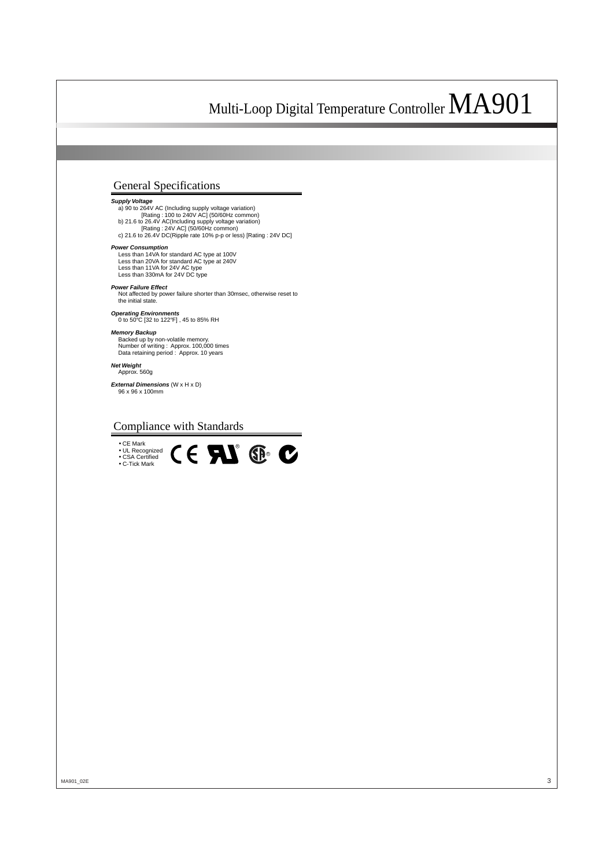# General Specifications

### **Supply Voltage**

a) 90 to 264V AC (Including supply voltage variation) [Rating : 100 to 240V AC] (50/60Hz common) b) 21.6 to 26.4V AC(Including supply voltage variation) [Rating : 24V AC] (50/60Hz common) c) 21.6 to 26.4V DC(Ripple rate 10% p-p or less) [Rating : 24V DC]

#### **Power Consumption**

Less than 14VA for standard AC type at 100V Less than 20VA for standard AC type at 240V Less than 11VA for 24V AC type Less than 330mA for 24V DC type

#### **Power Failure Effect**

Not affected by power failure shorter than 30msec, otherwise reset to the initial state

**Operating Environments** 0 to 50°C [32 to 122°F] , 45 to 85% RH

#### **Memory Backup**

Backed up by non-volatile memory. Number of writing : Approx. 100,000 times Data retaining period : Approx. 10 years

**Net Weight** Approx. 560g

**External Dimensions** (W x H x D) 96 x 96 x 100mm

# Compliance with Standards

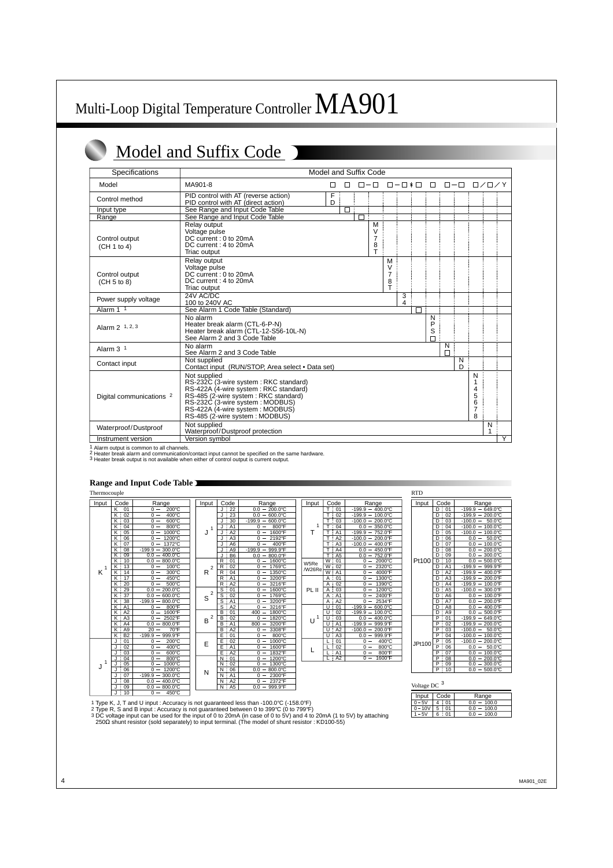# Model and Suffix Code

| Specifications                |                                                                                                                                                                                                                                                  | Model and Suffix Code |        |                                    |                                           |                      |                  |               |        |                                              |                   |                |
|-------------------------------|--------------------------------------------------------------------------------------------------------------------------------------------------------------------------------------------------------------------------------------------------|-----------------------|--------|------------------------------------|-------------------------------------------|----------------------|------------------|---------------|--------|----------------------------------------------|-------------------|----------------|
| Model                         | MA901-8                                                                                                                                                                                                                                          | П<br>П                |        | $\Box - \Box$                      |                                           | $\Box - \Box * \Box$ | $\Box$           | $\Box - \Box$ |        |                                              | $\Box / \Box / Y$ |                |
| Control method                | PID control with AT (reverse action)<br>PID control with AT (direct action)                                                                                                                                                                      | F<br>D                |        |                                    |                                           |                      |                  |               |        |                                              |                   |                |
| Input type<br>Range           | See Range and Input Code Table<br>See Range and Input Code Table                                                                                                                                                                                 | П                     | $\Box$ |                                    |                                           |                      |                  |               |        |                                              |                   |                |
| Control output<br>(CH 1 to 4) | Relay output<br>Voltage pulse<br>DC current: 0 to 20mA<br>DC current: 4 to 20mA<br>Triac output                                                                                                                                                  |                       |        | М<br>V<br>$\overline{7}$<br>8<br>T |                                           |                      |                  |               |        |                                              |                   |                |
| Control output<br>(CH 5 to 8) | Relay output<br>Voltage pulse<br>DC current: 0 to 20mA<br>DC current: 4 to 20mA<br>Triac output                                                                                                                                                  |                       |        |                                    | M<br>V<br>$\overline{7}$<br>$\frac{8}{1}$ |                      |                  |               |        |                                              |                   |                |
| Power supply voltage          | 24V AC/DC<br>100 to 240V AC                                                                                                                                                                                                                      |                       |        |                                    |                                           | 3<br>4               |                  |               |        |                                              |                   |                |
| Alarm 1 1                     | See Alarm 1 Code Table (Standard)                                                                                                                                                                                                                |                       |        |                                    |                                           |                      |                  |               |        |                                              |                   |                |
| Alarm 2 1, 2, 3               | No alarm<br>Heater break alarm (CTL-6-P-N)<br>Heater break alarm (CTL-12-S56-10L-N)<br>See Alarm 2 and 3 Code Table                                                                                                                              |                       |        |                                    |                                           |                      | N<br>P<br>S<br>П |               |        |                                              |                   |                |
| Alarm 3 <sup>1</sup>          | No alarm<br>See Alarm 2 and 3 Code Table                                                                                                                                                                                                         |                       |        |                                    |                                           |                      |                  | N<br>Г        |        |                                              |                   |                |
| Contact input                 | Not supplied<br>Contact input (RUN/STOP, Area select . Data set)                                                                                                                                                                                 |                       |        |                                    |                                           |                      |                  |               | N<br>D |                                              |                   |                |
| Digital communications 2      | Not supplied<br>RS-232C (3-wire system: RKC standard)<br>RS-422A (4-wire system: RKC standard)<br>RS-485 (2-wire system: RKC standard)<br>RS-232C (3-wire system: MODBUS)<br>RS-422A (4-wire system : MODBUS)<br>RS-485 (2-wire system : MODBUS) |                       |        |                                    |                                           |                      |                  |               |        | N<br>1<br>4<br>5<br>6<br>$\overline{7}$<br>8 |                   |                |
| Waterproof/Dustproof          | Not supplied<br>Waterproof/Dustproof protection                                                                                                                                                                                                  |                       |        |                                    |                                           |                      |                  |               |        |                                              | N                 |                |
| Instrument version            | Version symbol                                                                                                                                                                                                                                   |                       |        |                                    |                                           |                      |                  |               |        |                                              |                   | $\overline{Y}$ |

1 Alarm output is common to all channels.<br>2 Heater break alarm and communication/contact input cannot be specified on the same hardware.<br>3 Heater break output is not available when either of control output is current outpu

## **Range and Input Code Table**

Thermocouple

| Input  | Code                | Range                                                      | Input               | Code                 | Range                                             | Input  | C                       |
|--------|---------------------|------------------------------------------------------------|---------------------|----------------------|---------------------------------------------------|--------|-------------------------|
|        | Κ<br>01             | 200°C<br>$0 -$                                             |                     | 22                   | $0.0 - 200.0$ °C                                  |        | T                       |
|        | 02<br>Κ             | 400°C<br>$0 -$                                             |                     | 23<br>J.             | $0.0 - 600.0$ °C                                  |        | ⊤                       |
|        | K :<br>03           | 600°C<br>$0 -$                                             |                     | 30<br>J              | $-199.9 - 600.0^{\circ}$ C                        |        | Ŧ                       |
|        | K<br>04             | 800°C<br>$0 -$                                             | 1                   | A <sub>1</sub>       | $0 -$<br>800°F                                    | 1      | Ŧ                       |
|        | Κ<br>05             | $1000\overline{C}$<br>$\Omega$<br>$\overline{\phantom{0}}$ | J                   | A2<br>J              | 1600°F<br>$0 -$                                   | Т      | Ŧ                       |
|        | K<br>06             | 1200°C<br>0                                                |                     | A3<br>J              | 2192°F<br>0                                       |        | T                       |
|        | K<br>07             | 1372°C<br>$\Omega$                                         |                     | A <sub>6</sub><br>J  | 400°F<br>$\overline{0}$                           |        | $\overline{\mathsf{T}}$ |
|        | Κ<br>08             | 300.0°C<br>$-199.9$                                        |                     | A <sub>9</sub><br>J  | $-199.9$<br>999.9°F                               |        | ⊤                       |
|        | Κ<br>09             | 400.0°C<br>0.0                                             |                     | B <sub>6</sub><br>J  | 800.0°F<br>0.0                                    |        | $\overline{\mathsf{T}}$ |
|        | K<br>10             | 800.0°C<br>0.0<br>$\overline{\phantom{0}}$                 |                     | $\overline{R}$<br>01 | 1600°C<br>$0 -$                                   | W5Re   | $\overline{w}$          |
| 1      | κ:<br>13            | $100^{\circ}$ C<br>$0 -$                                   | $\overline{2}$      | R<br>02              | 1769°C<br>$0 -$                                   | /W26Re | W                       |
| ĸ      | 14<br>K             | 300°C<br>$0 -$                                             | R                   | R<br>04              | 1350°C<br>$0 -$                                   |        | $\overline{w}$          |
|        | 17<br>K             | $450^{\circ}$ C<br>$0 -$                                   |                     | A <sub>1</sub><br>R  | 3200°F<br>$\mathbf 0$<br>$\overline{\phantom{a}}$ |        | Α                       |
|        | 20<br>K             | 500°C<br>$\Omega$                                          |                     | A2<br>$\mathsf{R}$   | 3216°F<br>$0 -$                                   |        | $\overline{A}$          |
|        | 29<br>Κ             | 200.0°C<br>0.0                                             |                     | $\overline{s}$<br>01 | 1600°C<br>$0 -$                                   | PL II  | $\overline{A}$          |
|        | 37<br>κ             | 600.0°C<br>0.0                                             | $\overline{2}$<br>S | $\overline{s}$<br>02 | 1769°C<br>$0 -$                                   |        | A                       |
|        | Κ<br>38             | $-199.9 - 800.0^{\circ}C$                                  |                     | S<br>A <sub>1</sub>  | 3200°F<br>$0 -$                                   |        | $\overline{A}$          |
|        | K<br>A <sub>1</sub> | 800°F<br>$0 -$                                             |                     | s<br>A2              | 3216°F<br>$0 -$                                   |        | U                       |
|        | Κ<br>A2             | 1600°F<br>$0 -$                                            |                     | B<br>01              | $400 -$<br>1800°C                                 |        | U                       |
|        | Κ<br>A <sub>3</sub> | 2502°F<br>$\Omega$<br>$\overline{\phantom{m}}$             | $\overline{2}$<br>в | 02<br>B              | 1820°C<br>$0 -$                                   | 1<br>U | U                       |
|        | A <sub>4</sub><br>K | 800.0°F<br>0.0                                             |                     | B<br>A <sub>1</sub>  | 3200°F<br>800                                     |        | $\overline{U}$          |
|        | Κ<br>A <sub>9</sub> | 70°F<br>20<br>-                                            |                     | B<br>A <sub>2</sub>  | 3308°F<br>$0 -$                                   |        | U                       |
|        | Κ<br><b>B2</b>      | 999.9°F<br>$-199.9$<br>$\overline{\phantom{m}}$            |                     | Ē<br>01              | 800°C<br>$0 -$                                    |        | $\overline{\mathsf{U}}$ |
|        | J<br>01             | 200°C<br>$0 -$                                             | E                   | E<br>02              | 1000°C<br>$0 -$                                   |        | L                       |
|        | J<br>02             | 400°C<br>$0 -$                                             |                     | E<br>A <sub>1</sub>  | $0 -$<br>1600°F                                   | L      | 눈                       |
|        | 03<br>J             | 600°C<br>$0 -$                                             |                     | Ē<br>A2              | 1832°F<br>$0 -$                                   |        |                         |
|        | 04                  | 800°C<br>$\mathbf 0$<br>$\qquad \qquad -$                  |                     | $\overline{N}$<br>01 | 1200°C<br>$0 -$                                   |        | L                       |
| 1<br>J | 05<br>J             | 1000°C<br>$\Omega$                                         |                     | 02<br>N              | 1300°C<br>$\Omega$                                |        |                         |
|        | 06<br>J             | 1200°C<br>$\Omega$                                         | N                   | 06<br>N              | 800.0°C<br>$0.0 -$                                |        |                         |
|        | 07<br>J             | 300.0°C<br>$-199.9$                                        |                     | A1<br>N              | 2300°F<br>$0 -$                                   |        |                         |
|        | 08<br>J             | 400.0°C<br>0.0                                             |                     | N<br>A2              | 2372°F<br>$0 -$                                   |        |                         |
|        | 09<br>J             | 800.0°C<br>0.0<br>$\overline{\phantom{m}}$                 |                     | N<br>A <sub>5</sub>  | 999.9°F<br>0.0<br>$\qquad \qquad -$               |        |                         |
|        | 10<br>J             | 450°C<br>$0 -$                                             |                     |                      |                                                   |        |                         |

| Input   |                              | Code                 | Range                    |
|---------|------------------------------|----------------------|--------------------------|
|         | i<br>T                       | 01                   | 400.0°C<br>-199.9        |
|         | T                            | ŧ<br>02              | 100.0°C<br>$-199.9$      |
|         | Ŧ                            | Г<br>03              | 200.0°C<br>$-100.0$      |
| 1       | Ŧ<br>Ϊ                       | 04                   | 350.0°C<br>0.0           |
| Т       | i<br>T                       | A <sub>1</sub>       | 752.0°F<br>-199.9        |
|         | I<br>T                       | A2                   | $-100.0$<br>200.0°F      |
|         | i<br>T                       | A <sub>3</sub>       | 400.0°F<br>$-100.0$      |
|         | Ţ<br>T                       | A4                   | 450.0°F<br>0.0           |
|         | т                            | A <sub>5</sub>       | 752.0°F<br>0.0           |
| V5Re    | $\overline{\mathsf{w}}$<br>Ţ | 01                   | 2000℃<br>0               |
| W26Re   | i<br>$\frac{W}{W}$           | $\overline{02}$      | 2320°C<br>0              |
|         | ī                            | A <sub>1</sub>       | 4000°F<br>0              |
|         | Ϊ<br>Α                       | 01                   | 1300°C<br>0              |
|         | Ā                            | F<br>$\overline{02}$ | 1390°C<br>0              |
| PL II   | Ā                            | t<br>03              | 1200°C<br>0              |
|         | i<br>Ā                       | A1                   | 2400°F<br>0              |
|         | $\overline{\mathsf{A}}$      | ţ<br>A2              | 2534°F<br>0              |
|         | $\overline{\mathtt{U}}$      | $\frac{01}{02}$<br>Ŧ | 600.0°C<br>$-199.9$      |
|         | Ū                            | ŧ                    | 100.0°C<br>$-199.9$      |
| 1<br>H. | Ū<br>ī                       | 03                   | 400.0°C<br>0.0           |
|         | I<br>υ                       | A1                   | 999.9°F<br>$-199.9$      |
|         | Ū                            | Ţ<br>A2              | 200.0°F<br>$-100.0$      |
|         | I<br>Ū                       | A3                   | 999.9°F<br>0.0           |
| L       |                              | ļ<br>01              | 400°C<br>0               |
|         |                              | 02                   | $800^{\circ}$ C<br>0     |
|         |                              | A1                   | 800°F<br>0               |
|         |                              | A2                   | 1600°F<br>$\overline{0}$ |
|         |                              |                      |                          |

| RTD    |                                                 |                                    |  |  |  |  |
|--------|-------------------------------------------------|------------------------------------|--|--|--|--|
| Input  | Code                                            | Range                              |  |  |  |  |
|        | 01<br>D                                         | 649.0°C<br>$-199.9$                |  |  |  |  |
|        | D<br>02                                         | $200.0$ °C<br>$-199.9$             |  |  |  |  |
|        | D<br>03<br>ł                                    | 50.0°C<br>$-100.0$                 |  |  |  |  |
|        | ī<br>D<br>04                                    | 100.0°C<br>$-100.0$                |  |  |  |  |
|        | Ď<br>05                                         | 100.0°C<br>$-100.0$                |  |  |  |  |
|        | D<br>06<br>i                                    | 50.0°C<br>0.0                      |  |  |  |  |
|        | I<br>D<br>07                                    | $100.0$ <sup>°</sup> C<br>0.0      |  |  |  |  |
|        | I<br>D<br>08                                    | 200.0°C<br>0.0                     |  |  |  |  |
|        | D<br>ī<br>09                                    | 300.0°C<br>0.0                     |  |  |  |  |
| Pt100  | ţ<br>D<br>10                                    | 500.0°C<br>0.0                     |  |  |  |  |
|        | D<br>i<br>A1                                    | 999.9°F<br>$-199.9$                |  |  |  |  |
|        | ī<br>D<br>A2                                    | 400.0°F<br>$-199.9$                |  |  |  |  |
|        | i<br>D<br>A <sub>3</sub>                        | $200.0$ <sup>°</sup> F<br>$-199.9$ |  |  |  |  |
|        | D<br>ì<br>A4                                    | 100.0°F<br>$-199.9$                |  |  |  |  |
|        | Ī<br>A <sub>5</sub><br>D                        | 300.0°F<br>$-100.0$                |  |  |  |  |
|        | A6<br>D                                         | 100.0°F<br>0.0                     |  |  |  |  |
|        | D<br>t<br>A7                                    | 200.0°F<br>0.0                     |  |  |  |  |
|        | D<br>A8                                         | 400.0°F<br>0.0                     |  |  |  |  |
|        | i<br>D<br>A <sub>9</sub>                        | 500.0°F<br>0.0                     |  |  |  |  |
|        | P<br>i<br>01                                    | $-199.9$<br>649.0°C                |  |  |  |  |
|        | $\overline{\mathsf{P}}$<br>ī<br>02              | 200.0°C<br>$-199.9$                |  |  |  |  |
|        | $\overline{\mathsf{P}}$<br>Ī<br>$\overline{03}$ | $50.0^{\circ}$ C<br>$-100.0$       |  |  |  |  |
|        | P<br>I<br>04                                    | 100.0°C<br>$-100.0$                |  |  |  |  |
| JPt100 | j<br>P<br>$\overline{05}$                       | $200.0$ °C<br>$-100.0$             |  |  |  |  |
|        | $\overline{\mathsf{P}}$<br>06                   | 50.0°C<br>0.0                      |  |  |  |  |
|        | P<br>I<br>07                                    | 100.0°C<br>0.0                     |  |  |  |  |
|        | P<br>08                                         | 200.0°C<br>0.0                     |  |  |  |  |
|        | P<br>09                                         | 300.0°C<br>0.0                     |  |  |  |  |
|        | P<br>ī<br>10                                    | $500.0^\circ C$<br>0.0             |  |  |  |  |

Voltage DC  $3$ 

| Input |   | Code       | Range        |  |  |  |  |
|-------|---|------------|--------------|--|--|--|--|
| .5V   |   | 01         | 100.0        |  |  |  |  |
| 10V   | 5 | $^{\circ}$ | 100.0<br>0.0 |  |  |  |  |
|       | 6 |            | 100.0        |  |  |  |  |

1 Type K, J, T and U input : Accuracy is not guaranteed less than -100.0°C (-158.0°F)

2 Type R, S and B input : Accuracy is not guaranteed between 0 to 399℃ (0 to 799℃)<br>3 DC voltage input can be used for the input of 0 to 20mA (in case of 0 to 5V) and 4 to 20mA (1 to 5V) by attaching<br>\_250Ω shunt resistor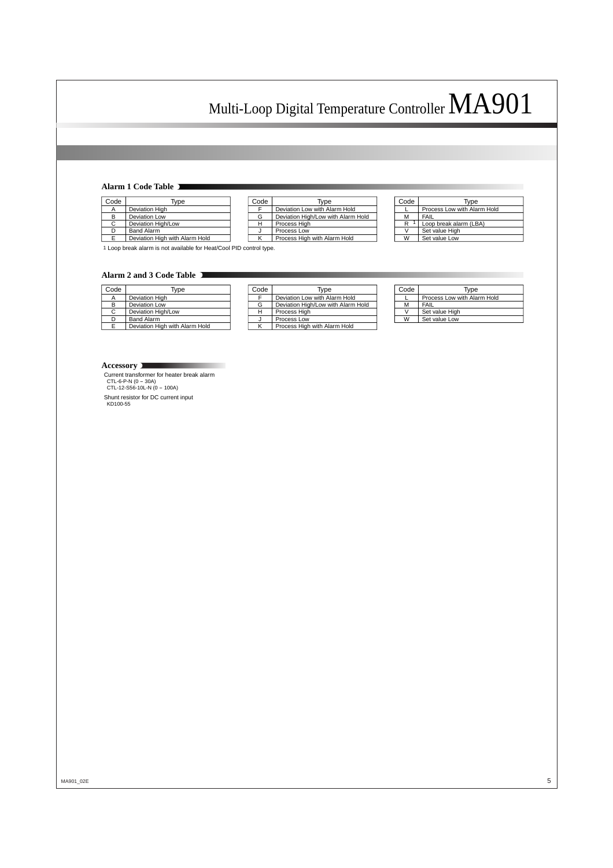## **Alarm 1 Code Table**

| Code | Type                           |
|------|--------------------------------|
|      | <b>Deviation High</b>          |
| в    | Deviation Low                  |
| C    | Deviation High/Low             |
|      | <b>Band Alarm</b>              |
| F    | Deviation High with Alarm Hold |

| Code | Type                               |
|------|------------------------------------|
|      | Deviation Low with Alarm Hold      |
| G    | Deviation High/Low with Alarm Hold |
| н    | Process High                       |
|      | Process Low                        |
|      | Process High with Alarm Hold       |

| Code | Type                        |
|------|-----------------------------|
|      | Process Low with Alarm Hold |
| м    | FAIL                        |
| R    | Loop break alarm (LBA)      |
|      | Set value High              |
| w    | Set value Low               |

1 Loop break alarm is not available for Heat/Cool PID control type.

### **Alarm 2 and 3 Code Table**

| Code | Tvpe                           | 30 |
|------|--------------------------------|----|
|      | Deviation High                 |    |
|      | <b>Deviation Low</b>           |    |
|      | Deviation High/Low             |    |
|      | <b>Band Alarm</b>              |    |
|      | Deviation High with Alarm Hold |    |

| Code | Tvpe                               |
|------|------------------------------------|
|      | Deviation Low with Alarm Hold      |
| G    | Deviation High/Low with Alarm Hold |
|      | Process High                       |
|      | Process Low                        |
|      | Process High with Alarm Hold       |

| Code | Type                        |
|------|-----------------------------|
|      | Process Low with Alarm Hold |
| м    | FAIL                        |
|      | Set value High              |
| w    | Set value Low               |

#### **Accessory**

Current transformer for heater break alarm CTL-6-P-N (0 - 30A) CTL-12-S56-10L-N (0 - 100A)

Shunt resistor for DC current input KD100-55